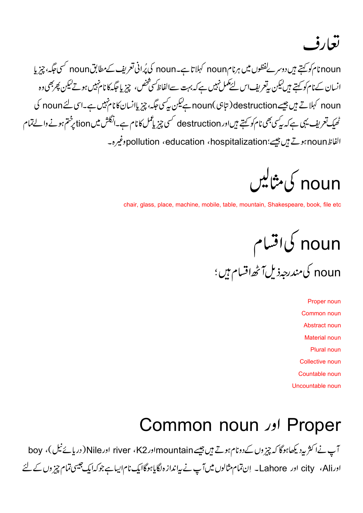تعارف

noun ام کو کہتے ہیں دوسرے لفظوں میں ہرنام noun کہلا تا ہے۔noun کی پُرانی تعریف کےمطابق noun کسی جگہ، چیزیا انسان کے نام کو کہتے ہیں لیکن پرتعریف اس لئے مکمل نہیں ہے کہ بہت سےالفاظ سی شخص، چیز یا جگہ کا نام نہیں ہوتےلیکن پھربھی وہ noun کہلاتے ہیں جیسے destruction ( تابی )noun ہےلیکن بی<sup>س</sup>ی جگہ، چیز پاانسان کا نام ہیں ہے۔اس لئے noun کی ٹھیک تعریف یہی ہے کہ بی<sup>کسی بھ</sup>ی نام کو کہتے ہیںاور destruction کسی چیز یا عمل کا نام ہے۔انگلش میں tion پرختم ہونے والے تمام الفاظ pollution ، education ، hospitalization؛ تغيره-

noun کی مثالیں

chair, glass, place, machine, mobile, table, mountain, Shakespeare, book, file etc

noun کی اقسام

noun کی *مندرجہ*ذیل آٹھ اقسام ہیں ؛

 Proper noun Common noun Abstract noun Material noun Plural noun Collective noun Countable noun Uncountable noun

#### Common noun Proper

آپ نےاکثر بی<sub>د</sub>د یکھاہوگا کہ چیز وں کے دونام ہوتے ہیں جیسے mountainاور K2 ، river اور Nile (دریائے نیل )، boy اورcity ، Ali اور Lahore \_ إن تمام مثالوں میں آپ نے بیانداز ہ لگایاہوگاایک نام ایباہ جوکہایک جیسی تمام چیز وں کے لئے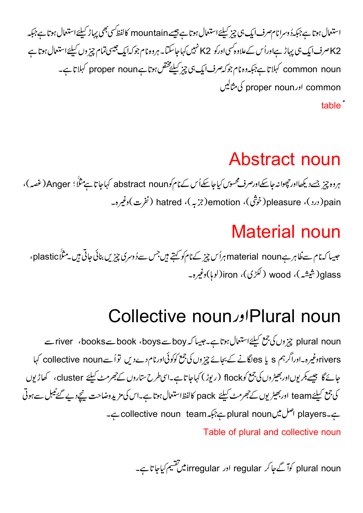استعمال ہوتا ہےجبکہ دُوسرانامصرف ایک ہی چیز کیلئے استعمال ہوتا ہے جیسے mountain کالفظ سی بھی پہاڑ کیلئے استعمال ہوتا ہےجبکہ K2 صرف ایک ہی پہاڑ ہےاوراُس کےعلاوہ کسی اورکو K2 نہیں کہاجاسکتا۔ ہروہ نام جوکہ ایک جیسی تمام چیز وں کیلئے استعمال ہوتا ہے common noun کہلاتاہے جبکہ وہ نام جوکہ صرف ایک ہی چیز کیلیجختص ہوتا ہے proper noun کہلاتاہے۔ common اورproper noun کی مثالیں table<sup>"</sup>

# Abstract noun

ہروہ چیز جسے دیکھااور حچھوانہ جاسکےاورصرف محسوس کیاجاسکےاُس کے نام کوabstract noun کہاجا تاہے مثلاً ؛ Anger (غصہ )، pleasure (درد )، pleasure(خوثَق)، hatred (جزبه)، hatred (نفرت)وغیرہ۔

# Material noun

جیسا کہ نام سے فلاہر ہے material noun ہراُس چیز کے نام کو کہتے ہیں جس سےدُوسری چیزیں بنائی جاتی ہیں۔مثلَّاً plastic، glass(شیشہ)، wood ( لکڑی)، iron(لوہا)وغیرہ۔

## Collective noun Plural noun

plural noun چز وں کی جمع کیلئے استعال ہوتا ہے۔جیسا کہ book سے books سے river ، books سے rivers دغیرہ۔اوراگرہم s یا esکانے کے بجائے چیزوں کی جمع کوکوئی اورنام دےدیں تو اُسےcollective noun کہا جائے گا جیسے بکر یوںاور بھیڑوں کی جمع کو flock (ریوڑ) کہاجا تاہے۔اسی طرح ستاروں کے جھرمٹ کیلئے cluster، کھاڑیوں کی جمع کیلئے team اور بھیڑیوں تے جھرمٹ کیلئے pack کالفظاستعال ہوتا ہے۔اس کی مزیدوضاحت نیچےدیے گئے ٹیبل سے ہوتی ے۔collective noun team ہے۔ plural noun سے جنوبے ا Table of plural and collective noun

plural noun کوآگےجا کر regular اور irregular میں تفتیم کیاجا تاہے۔